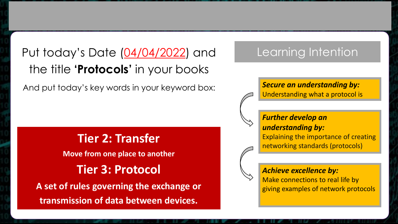Put today's Date (04/04/2022) and the title **'Protocols'** in your books

And put today's key words in your keyword box:

## **Tier 2: Transfer Move from one place to another Tier 3: Protocol A set of rules governing the exchange or transmission of data between devices.**

## Learning Intention

#### *Secure an understanding by:* Understanding what a protocol is

#### *Further develop an understanding by:*

Explaining the importance of creating networking standards (protocols)

## *Achieve excellence by:*

Make connections to real life by giving examples of network protocols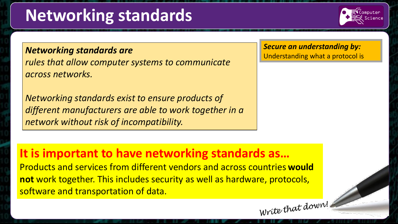# **Networking standards**



### *Networking standards are*

*rules that allow computer systems to communicate across networks.* 

*Networking standards exist to ensure products of different manufacturers are able to work together in a network without risk of incompatibility.*

*Secure an understanding by:* Understanding what a protocol is

## **It is important to have networking standards as…**

Products and services from different vendors and across countries **would not** work together. This includes security as well as hardware, protocols, software and transportation of data. Write that down!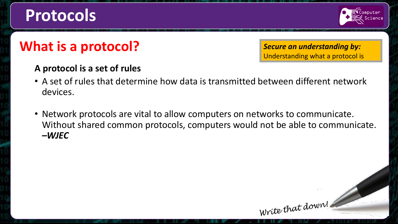# **Protocols**



# **What is a protocol?**

*Secure an understanding by:* Understanding what a protocol is

Write that down!

### **A protocol is a set of rules**

- A set of rules that determine how data is transmitted between different network devices.
- Network protocols are vital to allow computers on networks to communicate. Without shared common protocols, computers would not be able to communicate. *–WJEC*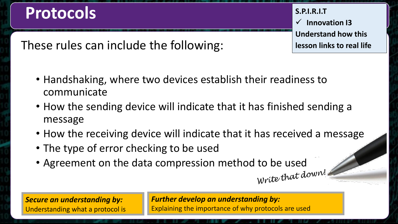# **Protocols**

**S.P.I.R.I.T Innovation I3 Understand how this lesson links to real life**

These rules can include the following:

- Handshaking, where two devices establish their readiness to communicate
- How the sending device will indicate that it has finished sending a message
- How the receiving device will indicate that it has received a message
- The type of error checking to be used
- Agreement on the data compression method to be used<br> $\frac{d}{dt}$

*Secure an understanding by:* Understanding what a protocol is *Further develop an understanding by:* Explaining the importance of why protocols are used